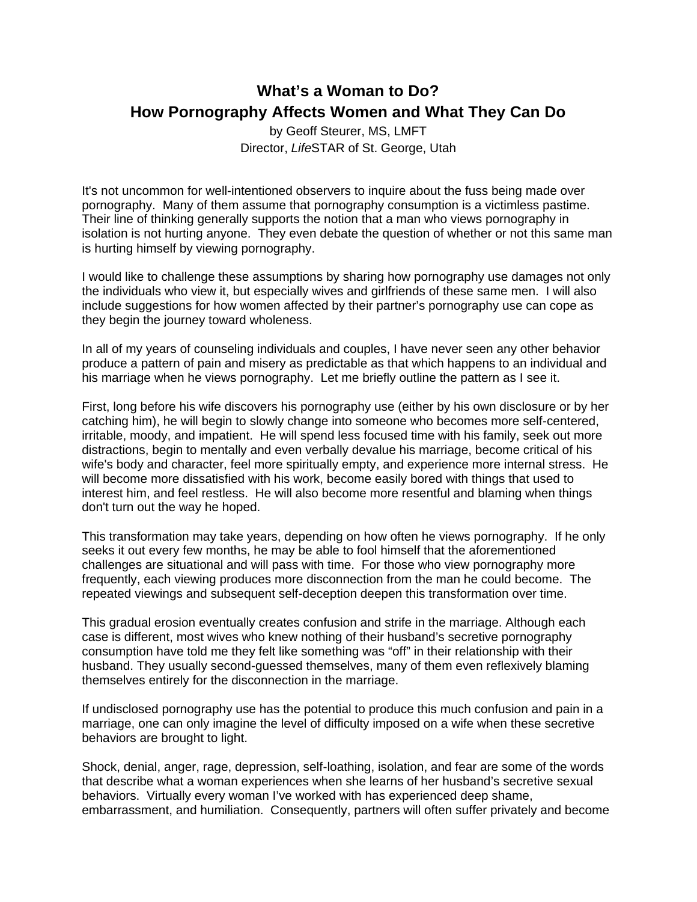## **What's a Woman to Do? How Pornography Affects Women and What They Can Do**

by Geoff Steurer, MS, LMFT Director, *Life*STAR of St. George, Utah

It's not uncommon for well-intentioned observers to inquire about the fuss being made over pornography. Many of them assume that pornography consumption is a victimless pastime. Their line of thinking generally supports the notion that a man who views pornography in isolation is not hurting anyone. They even debate the question of whether or not this same man is hurting himself by viewing pornography.

I would like to challenge these assumptions by sharing how pornography use damages not only the individuals who view it, but especially wives and girlfriends of these same men. I will also include suggestions for how women affected by their partner's pornography use can cope as they begin the journey toward wholeness.

In all of my years of counseling individuals and couples, I have never seen any other behavior produce a pattern of pain and misery as predictable as that which happens to an individual and his marriage when he views pornography. Let me briefly outline the pattern as I see it.

First, long before his wife discovers his pornography use (either by his own disclosure or by her catching him), he will begin to slowly change into someone who becomes more self-centered, irritable, moody, and impatient. He will spend less focused time with his family, seek out more distractions, begin to mentally and even verbally devalue his marriage, become critical of his wife's body and character, feel more spiritually empty, and experience more internal stress. He will become more dissatisfied with his work, become easily bored with things that used to interest him, and feel restless. He will also become more resentful and blaming when things don't turn out the way he hoped.

This transformation may take years, depending on how often he views pornography. If he only seeks it out every few months, he may be able to fool himself that the aforementioned challenges are situational and will pass with time. For those who view pornography more frequently, each viewing produces more disconnection from the man he could become. The repeated viewings and subsequent self-deception deepen this transformation over time.

This gradual erosion eventually creates confusion and strife in the marriage. Although each case is different, most wives who knew nothing of their husband's secretive pornography consumption have told me they felt like something was "off" in their relationship with their husband. They usually second-guessed themselves, many of them even reflexively blaming themselves entirely for the disconnection in the marriage.

If undisclosed pornography use has the potential to produce this much confusion and pain in a marriage, one can only imagine the level of difficulty imposed on a wife when these secretive behaviors are brought to light.

Shock, denial, anger, rage, depression, self-loathing, isolation, and fear are some of the words that describe what a woman experiences when she learns of her husband's secretive sexual behaviors. Virtually every woman I've worked with has experienced deep shame, embarrassment, and humiliation. Consequently, partners will often suffer privately and become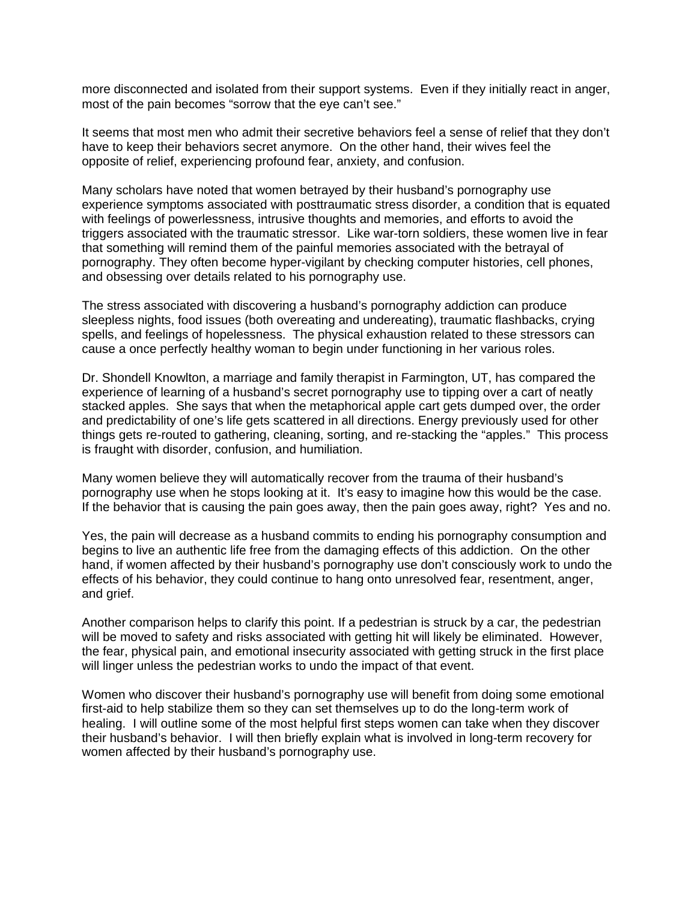more disconnected and isolated from their support systems. Even if they initially react in anger, most of the pain becomes "sorrow that the eye can't see."

It seems that most men who admit their secretive behaviors feel a sense of relief that they don't have to keep their behaviors secret anymore. On the other hand, their wives feel the opposite of relief, experiencing profound fear, anxiety, and confusion.

Many scholars have noted that women betrayed by their husband's pornography use experience symptoms associated with posttraumatic stress disorder, a condition that is equated with feelings of powerlessness, intrusive thoughts and memories, and efforts to avoid the triggers associated with the traumatic stressor. Like war-torn soldiers, these women live in fear that something will remind them of the painful memories associated with the betrayal of pornography. They often become hyper-vigilant by checking computer histories, cell phones, and obsessing over details related to his pornography use.

The stress associated with discovering a husband's pornography addiction can produce sleepless nights, food issues (both overeating and undereating), traumatic flashbacks, crying spells, and feelings of hopelessness. The physical exhaustion related to these stressors can cause a once perfectly healthy woman to begin under functioning in her various roles.

Dr. Shondell Knowlton, a marriage and family therapist in Farmington, UT, has compared the experience of learning of a husband's secret pornography use to tipping over a cart of neatly stacked apples. She says that when the metaphorical apple cart gets dumped over, the order and predictability of one's life gets scattered in all directions. Energy previously used for other things gets re-routed to gathering, cleaning, sorting, and re-stacking the "apples." This process is fraught with disorder, confusion, and humiliation.

Many women believe they will automatically recover from the trauma of their husband's pornography use when he stops looking at it. It's easy to imagine how this would be the case. If the behavior that is causing the pain goes away, then the pain goes away, right? Yes and no.

Yes, the pain will decrease as a husband commits to ending his pornography consumption and begins to live an authentic life free from the damaging effects of this addiction. On the other hand, if women affected by their husband's pornography use don't consciously work to undo the effects of his behavior, they could continue to hang onto unresolved fear, resentment, anger, and grief.

Another comparison helps to clarify this point. If a pedestrian is struck by a car, the pedestrian will be moved to safety and risks associated with getting hit will likely be eliminated. However, the fear, physical pain, and emotional insecurity associated with getting struck in the first place will linger unless the pedestrian works to undo the impact of that event.

Women who discover their husband's pornography use will benefit from doing some emotional first-aid to help stabilize them so they can set themselves up to do the long-term work of healing. I will outline some of the most helpful first steps women can take when they discover their husband's behavior. I will then briefly explain what is involved in long-term recovery for women affected by their husband's pornography use.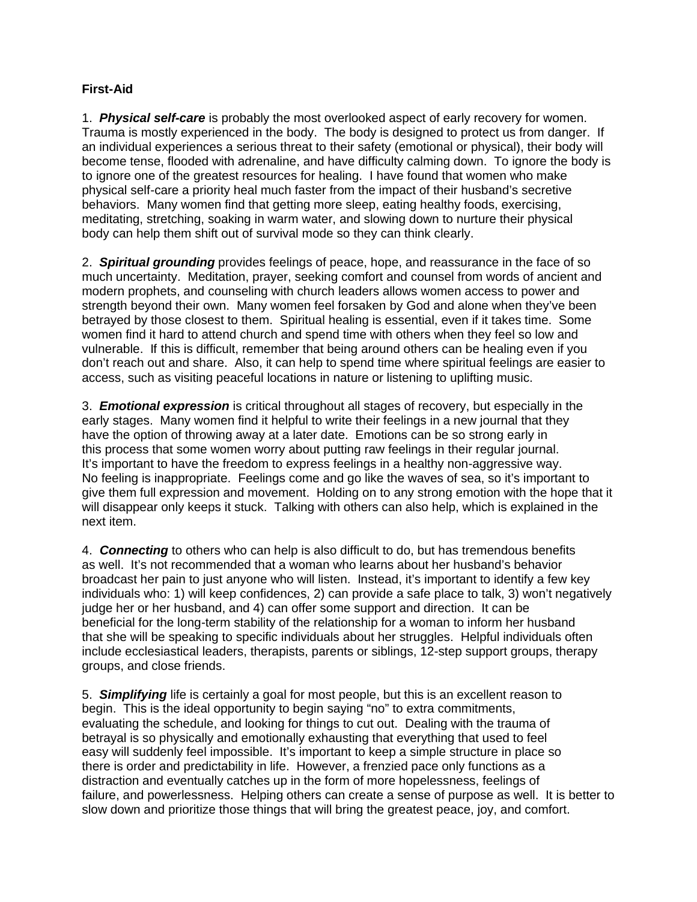## **First-Aid**

1. *Physical self-care* is probably the most overlooked aspect of early recovery for women. Trauma is mostly experienced in the body. The body is designed to protect us from danger. If an individual experiences a serious threat to their safety (emotional or physical), their body will become tense, flooded with adrenaline, and have difficulty calming down. To ignore the body is to ignore one of the greatest resources for healing. I have found that women who make physical self-care a priority heal much faster from the impact of their husband's secretive behaviors. Many women find that getting more sleep, eating healthy foods, exercising, meditating, stretching, soaking in warm water, and slowing down to nurture their physical body can help them shift out of survival mode so they can think clearly.

2. *Spiritual grounding* provides feelings of peace, hope, and reassurance in the face of so much uncertainty. Meditation, prayer, seeking comfort and counsel from words of ancient and modern prophets, and counseling with church leaders allows women access to power and strength beyond their own. Many women feel forsaken by God and alone when they've been betrayed by those closest to them. Spiritual healing is essential, even if it takes time. Some women find it hard to attend church and spend time with others when they feel so low and vulnerable. If this is difficult, remember that being around others can be healing even if you don't reach out and share. Also, it can help to spend time where spiritual feelings are easier to access, such as visiting peaceful locations in nature or listening to uplifting music.

3. *Emotional expression* is critical throughout all stages of recovery, but especially in the early stages. Many women find it helpful to write their feelings in a new journal that they have the option of throwing away at a later date. Emotions can be so strong early in this process that some women worry about putting raw feelings in their regular journal. It's important to have the freedom to express feelings in a healthy non-aggressive way. No feeling is inappropriate. Feelings come and go like the waves of sea, so it's important to give them full expression and movement. Holding on to any strong emotion with the hope that it will disappear only keeps it stuck. Talking with others can also help, which is explained in the next item.

4. *Connecting* to others who can help is also difficult to do, but has tremendous benefits as well. It's not recommended that a woman who learns about her husband's behavior broadcast her pain to just anyone who will listen. Instead, it's important to identify a few key individuals who: 1) will keep confidences, 2) can provide a safe place to talk, 3) won't negatively judge her or her husband, and 4) can offer some support and direction. It can be beneficial for the long-term stability of the relationship for a woman to inform her husband that she will be speaking to specific individuals about her struggles. Helpful individuals often include ecclesiastical leaders, therapists, parents or siblings, 12-step support groups, therapy groups, and close friends.

5. *Simplifying* life is certainly a goal for most people, but this is an excellent reason to begin. This is the ideal opportunity to begin saying "no" to extra commitments, evaluating the schedule, and looking for things to cut out. Dealing with the trauma of betrayal is so physically and emotionally exhausting that everything that used to feel easy will suddenly feel impossible. It's important to keep a simple structure in place so there is order and predictability in life. However, a frenzied pace only functions as a distraction and eventually catches up in the form of more hopelessness, feelings of failure, and powerlessness. Helping others can create a sense of purpose as well. It is better to slow down and prioritize those things that will bring the greatest peace, joy, and comfort.